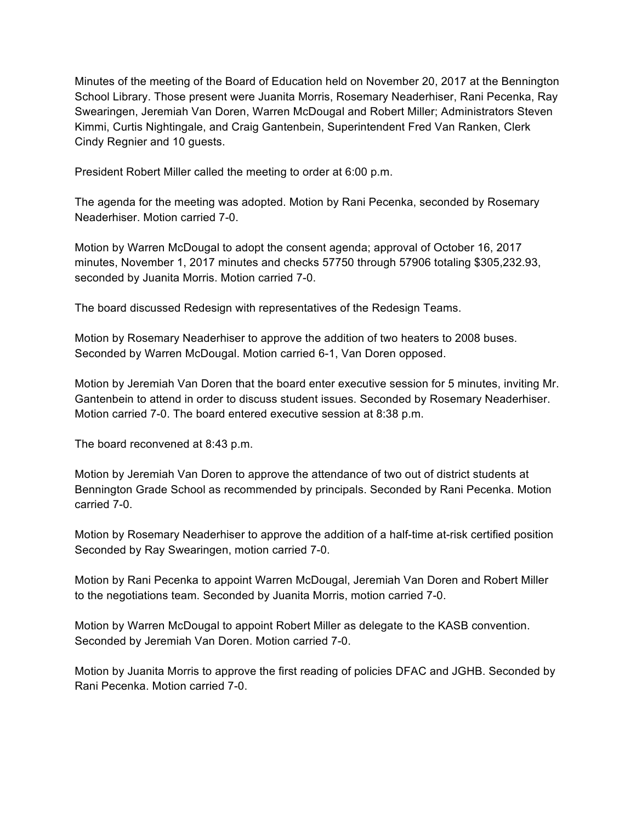Minutes of the meeting of the Board of Education held on November 20, 2017 at the Bennington School Library. Those present were Juanita Morris, Rosemary Neaderhiser, Rani Pecenka, Ray Swearingen, Jeremiah Van Doren, Warren McDougal and Robert Miller; Administrators Steven Kimmi, Curtis Nightingale, and Craig Gantenbein, Superintendent Fred Van Ranken, Clerk Cindy Regnier and 10 guests.

President Robert Miller called the meeting to order at 6:00 p.m.

The agenda for the meeting was adopted. Motion by Rani Pecenka, seconded by Rosemary Neaderhiser. Motion carried 7-0.

Motion by Warren McDougal to adopt the consent agenda; approval of October 16, 2017 minutes, November 1, 2017 minutes and checks 57750 through 57906 totaling \$305,232.93, seconded by Juanita Morris. Motion carried 7-0.

The board discussed Redesign with representatives of the Redesign Teams.

Motion by Rosemary Neaderhiser to approve the addition of two heaters to 2008 buses. Seconded by Warren McDougal. Motion carried 6-1, Van Doren opposed.

Motion by Jeremiah Van Doren that the board enter executive session for 5 minutes, inviting Mr. Gantenbein to attend in order to discuss student issues. Seconded by Rosemary Neaderhiser. Motion carried 7-0. The board entered executive session at 8:38 p.m.

The board reconvened at 8:43 p.m.

Motion by Jeremiah Van Doren to approve the attendance of two out of district students at Bennington Grade School as recommended by principals. Seconded by Rani Pecenka. Motion carried 7-0.

Motion by Rosemary Neaderhiser to approve the addition of a half-time at-risk certified position Seconded by Ray Swearingen, motion carried 7-0.

Motion by Rani Pecenka to appoint Warren McDougal, Jeremiah Van Doren and Robert Miller to the negotiations team. Seconded by Juanita Morris, motion carried 7-0.

Motion by Warren McDougal to appoint Robert Miller as delegate to the KASB convention. Seconded by Jeremiah Van Doren. Motion carried 7-0.

Motion by Juanita Morris to approve the first reading of policies DFAC and JGHB. Seconded by Rani Pecenka. Motion carried 7-0.